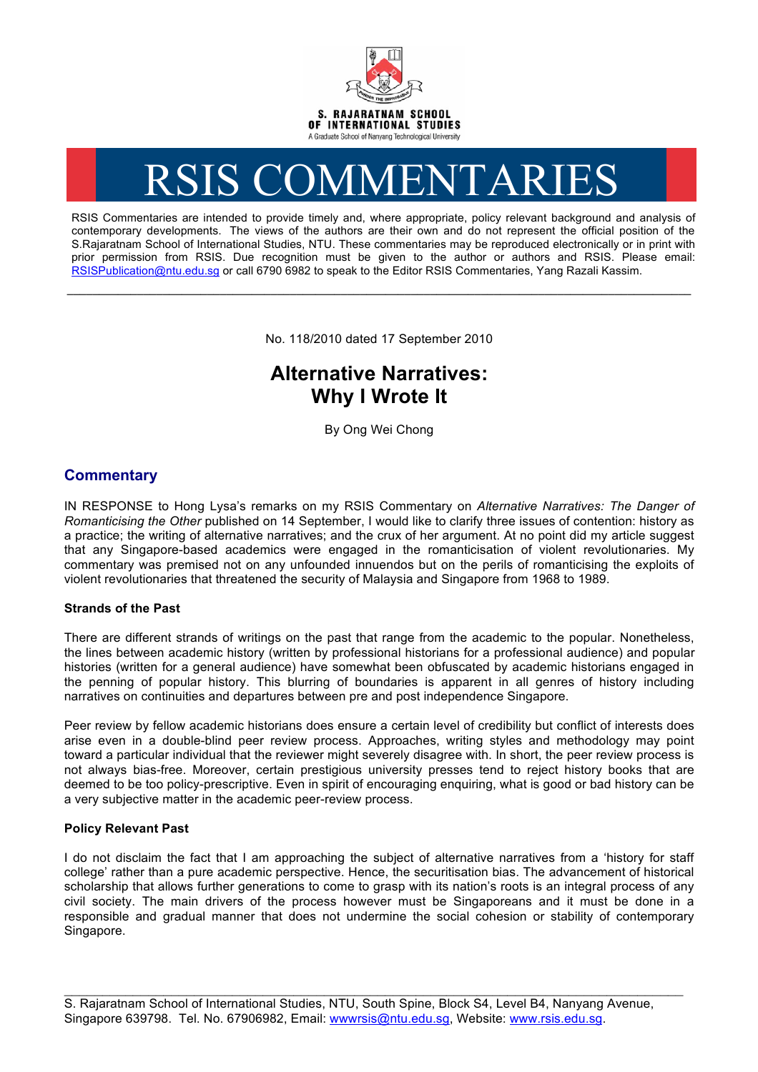

# RSIS COMMENTARIES

RSIS Commentaries are intended to provide timely and, where appropriate, policy relevant background and analysis of contemporary developments. The views of the authors are their own and do not represent the official position of the S.Rajaratnam School of International Studies, NTU. These commentaries may be reproduced electronically or in print with prior permission from RSIS. Due recognition must be given to the author or authors and RSIS. Please email: RSISPublication@ntu.edu.sg or call 6790 6982 to speak to the Editor RSIS Commentaries, Yang Razali Kassim.

No. 118/2010 dated 17 September 2010

**\_\_\_\_\_\_\_\_\_\_\_\_\_\_\_\_\_\_\_\_\_\_\_\_\_\_\_\_\_\_\_\_\_\_\_\_\_\_\_\_\_\_\_\_\_\_\_\_\_\_\_\_\_\_\_\_\_\_\_\_\_\_\_\_\_\_\_\_\_\_\_\_\_\_\_\_\_\_\_\_\_\_\_\_\_\_\_\_\_\_\_\_\_\_\_\_\_\_**

# **Alternative Narratives: Why I Wrote It**

By Ong Wei Chong

## **Commentary**

IN RESPONSE to Hong Lysa's remarks on my RSIS Commentary on *Alternative Narratives: The Danger of Romanticising the Other* published on 14 September, I would like to clarify three issues of contention: history as a practice; the writing of alternative narratives; and the crux of her argument. At no point did my article suggest that any Singapore-based academics were engaged in the romanticisation of violent revolutionaries. My commentary was premised not on any unfounded innuendos but on the perils of romanticising the exploits of violent revolutionaries that threatened the security of Malaysia and Singapore from 1968 to 1989.

### **Strands of the Past**

There are different strands of writings on the past that range from the academic to the popular. Nonetheless, the lines between academic history (written by professional historians for a professional audience) and popular histories (written for a general audience) have somewhat been obfuscated by academic historians engaged in the penning of popular history. This blurring of boundaries is apparent in all genres of history including narratives on continuities and departures between pre and post independence Singapore.

Peer review by fellow academic historians does ensure a certain level of credibility but conflict of interests does arise even in a double-blind peer review process. Approaches, writing styles and methodology may point toward a particular individual that the reviewer might severely disagree with. In short, the peer review process is not always bias-free. Moreover, certain prestigious university presses tend to reject history books that are deemed to be too policy-prescriptive. Even in spirit of encouraging enquiring, what is good or bad history can be a very subjective matter in the academic peer-review process.

### **Policy Relevant Past**

I do not disclaim the fact that I am approaching the subject of alternative narratives from a 'history for staff college' rather than a pure academic perspective. Hence, the securitisation bias. The advancement of historical scholarship that allows further generations to come to grasp with its nation's roots is an integral process of any civil society. The main drivers of the process however must be Singaporeans and it must be done in a responsible and gradual manner that does not undermine the social cohesion or stability of contemporary Singapore.